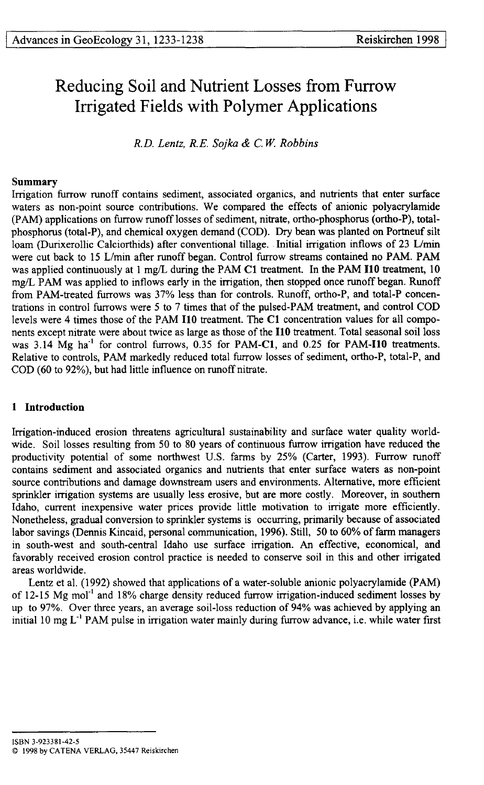# Reducing Soil and Nutrient Losses from Furrow Irrigated Fields with Polymer Applications

*R.D. Lentz, R.E. Sojka & C.W. Robbins*

# **Summary**

Irrigation furrow runoff contains sediment, associated organics, and nutrients that enter surface waters as non-point source contributions. We compared the effects of anionic polyacrylamide (PAM) applications on furrow runoff losses of sediment, nitrate, ortho-phosphorus (ortho-P), totalphosphorus (total-P), and chemical oxygen demand (COD). Dry bean was planted on Portneuf silt loam (Durixerollic Calciorthids) after conventional tillage.. Initial irrigation inflows of 23 L/min were cut back to 15 L/min after runoff began. Control furrow streams contained no PAM. PAM was applied continuously at 1 mg/L during the PAM Cl treatment. In the PAM **I10** treatment, 10 mg/L PAM was applied to inflows early in the irrigation, then stopped once runoff began. Runoff from PAM-treated furrows was 37% less than for controls. Runoff, ortho-P, and total-P concentrations in control furrows were 5 to 7 times that of the pulsed-PAM treatment, and control COD levels were 4 times those of the PAM **I10** treatment. The Cl concentration values for all components except nitrate were about twice as large as those of the **I10** treatment. Total seasonal soil loss was 3.14 Mg ha"' for control furrows, 0.35 for PAM-Cl, and 0.25 for **PAM-I10** treatments. Relative to controls, PAM markedly reduced total furrow losses of sediment, ortho-P, total-P, and COD (60 to 92%), but had little influence on runoff nitrate.

# **1 Introduction**

Irrigation-induced erosion threatens agricultural sustainability and surface water quality worldwide. Soil losses resulting from 50 to 80 years of continuous furrow irrigation have reduced the productivity potential of some northwest U.S. farms by 25% (Carter, 1993). Furrow runoff contains sediment and associated organics and nutrients that enter surface waters as non-point source contributions and damage downstream users and environments. Alternative, more efficient sprinkler irrigation systems are usually less erosive, but are more costly. Moreover, in southern Idaho, current inexpensive water prices provide little motivation to irrigate more efficiently. Nonetheless, gradual conversion to sprinkler systems is occurring, primarily because of associated labor savings (Dennis Kincaid, personal communication, 1996). Still, 50 to 60% of farm managers in south-west and south-central Idaho use surface irrigation. An effective, economical, and favorably received erosion control practice is needed to conserve soil in this and other irrigated areas worldwide.

Lentz et al. (1992) showed that applications of a water-soluble anionic polyacrylamide (PAM) of 12-15 Mg mol<sup>-1</sup> and 18% charge density reduced furrow irrigation-induced sediment losses by up to 97%. Over three years, an average soil-loss reduction of 94% was achieved by applying an initial 10 mg  $L^{-1}$  PAM pulse in irrigation water mainly during furrow advance, i.e. while water first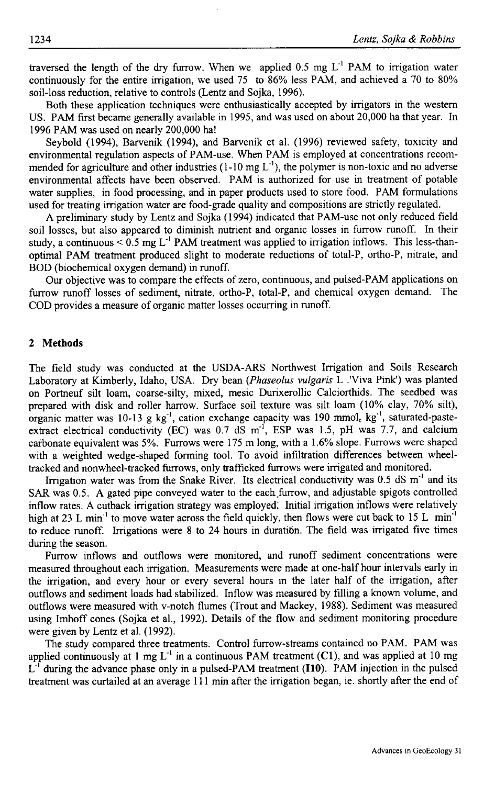traversed the length of the dry furrow. When we applied  $0.5 \text{ mg } L^{-1}$  PAM to irrigation water continuously for the entire irrigation, we used 75 to 86% less PAM, and achieved a 70 to 80% soil-loss reduction, relative to controls (Lentz and Sojka, 1996).

Both these application techniques were enthusiastically accepted by irrigators in the western US. PAM first became generally available in 1995, and was used on about 20,000 ha that year. In 1996 PAM was used on nearly 200,000 ha!

Seybold (1994), Barvenik (1994), and Barvenik et al. (1996) reviewed safety, toxicity and environmental regulation aspects of PAM-use. When PAM is employed at concentrations recommended for agriculture and other industries  $(1-10 \text{ mg L}^{-1})$ , the polymer is non-toxic and no adverse environmental affects have been observed. PAM is authorized for use in treatment of potable water supplies, in food processing, and in paper products used to store food. PAM formulations used for treating irrigation water are food-grade quality and compositions are strictly regulated.

A preliminary study by Lentz and Sojka (1994) indicated that PAM-use not only reduced field soil losses, but also appeared to diminish nutrient and organic losses in furrow runoff. In their study, a continuous  $\leq 0.5$  mg L<sup>-1</sup> PAM treatment was applied to irrigation inflows. This less-thanoptimal PAM treatment produced slight to moderate reductions of total-P, ortho-P, nitrate, and BOD (biochemical oxygen demand) in runoff.

Our objective was to compare the effects of zero, continuous, and pulsed-PAM applications on furrow runoff losses of sediment, nitrate, ortho-P, total-P, and chemical oxygen demand. The COD provides a measure of organic matter losses occurring in runoff.

### 2 **Methods**

The field study was conducted at the USDA-ARS Northwest Irrigation and Soils Research Laboratory at Kimberly, Idaho, USA. Dry bean *(Phaseolus vulgaris* L .'Viva Pink') was planted on Portneuf silt loam, coarse-silty, mixed, mesic Durixerollic Calciorthids. The seedbed was prepared with disk and roller harrow. Surface soil texture was silt loam (10% clay, 70% silt), organic matter was 10-13 g kg<sup>-1</sup>, cation exchange capacity was 190 mmol, kg<sup>-1</sup>, saturated-pasteextract electrical conductivity (EC) was  $0.7 \text{ dS m}^{-1}$ , ESP was 1.5, pH was 7.7, and calcium carbonate equivalent was 5%. Furrows were 175 m long, with a 1.6% slope. Furrows were shaped with a weighted wedge-shaped forming tool. To avoid infiltration differences between wheeltracked and nonwheel-tracked furrows, only trafficked furrows were irrigated and monitored.

Irrigation water was from the Snake River. Its electrical conductivity was  $0.5$  dS m<sup>-1</sup> and its SAR was 0.5. A gated pipe conveyed water to the each furrow, and adjustable spigots controlled inflow rates. A cutback irrigation strategy was employed: Initial irrigation inflows were relatively high at 23 L min<sup>-1</sup> to move water across the field quickly, then flows were cut back to 15 L min<sup>-1</sup> to reduce runoff. Irrigations were 8 to 24 hours in duration. The field was irrigated five times during the season.

Furrow inflows and outflows were monitored, and runoff sediment concentrations were measured throughout each irrigation. Measurements were made at one-half hour intervals early in the irrigation, and every hour or every several hours in the later half of the irrigation, after outflows and sediment loads had stabilized. Inflow was measured by filling a known volume, and outflows were measured with v-notch flumes (Trout and Mackey, 1988). Sediment was measured using Imhoff cones (Sojka et al., 1992). Details of the flow and sediment monitoring procedure were given by Lentz et al. (1992).

The study compared three treatments. Control furrow-streams contained no PAM. PAM was applied continuously at 1 mg  $L^{-1}$  in a continuous PAM treatment (C1), and was applied at 10 mg L1 during the advance phase only in a pulsed-PAM treatment **(110).** PAM injection in the pulsed treatment was curtailed at an average 111 min after the irrigation began, ie. shortly after the end of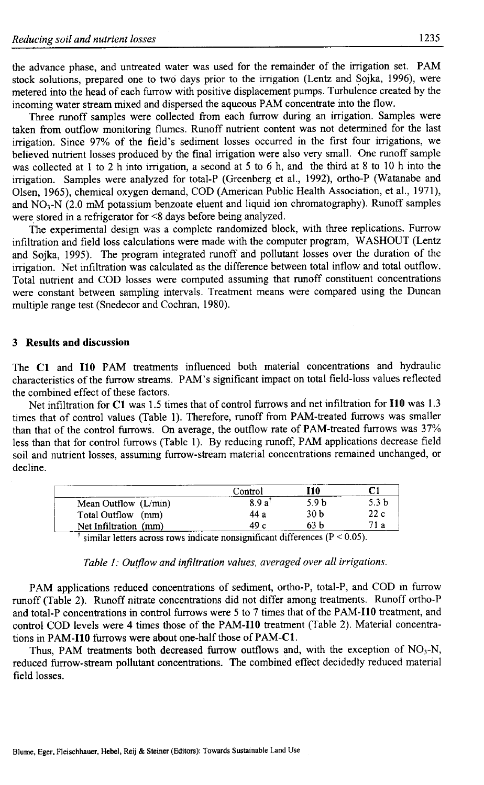the advance phase, and untreated water was used for the remainder of the irrigation set. PAM stock solutions, prepared one to two days prior to the irrigation (Lentz and Sojka, 1996), were metered into the head of each furrow with positive displacement pumps. Turbulence created by the incoming water stream mixed and dispersed the aqueous PAM concentrate into the flow.

Three runoff samples were collected from each furrow during an irrigation. Samples were taken from outflow monitoring flumes. Runoff nutrient content was not determined for the last irrigation. Since 97% of the field's sediment losses occurred in the first four irrigations, we believed nutrient losses produced by the final irrigation were also very small. One runoff sample was collected at 1 to 2 h into irrigation, a second at 5 to 6 h, and the third at 8 to 10 h into the irrigation. Samples were analyzed for total-P (Greenberg et al., 1992), ortho-P (Watanabe and Olsen, 1965), chemical oxygen demand, COD (American Public Health Association, et al., 1971), and NO<sub>3</sub>-N (2.0 mM potassium benzoate eluent and liquid ion chromatography). Runoff samples were stored in a refrigerator for <8 days before being analyzed.

The experimental design was a complete randomized block, with three replications. Furrow infiltration and field loss calculations were made with the computer program, WASHOUT (Lentz and Sojka, 1995). The program integrated runoff and pollutant losses over the duration of the irrigation. Net infiltration was calculated as the difference between total inflow and total outflow. Total nutrient and COD losses were computed assuming that runoff constituent concentrations were constant between sampling intervals. Treatment means were compared using the Duncan multiple range test (Snedecor and Cochran, 1980).

# 3 **Results and discussion**

The Cl and **HO** PAM treatments influenced both material concentrations and hydraulic characteristics of the furrow streams. PAM's significant impact on total field-loss values reflected the combined effect of these factors.

Net infiltration for C1 was 1.5 times that of control furrows and net infiltration for I10 was 1.3 times that of control values (Table 1). Therefore, runoff from PAM-treated furrows was smaller than that of the control furrows. On average, the outflow rate of PAM-treated furrows was 37% less than that for control furrows (Table 1). By reducing runoff, PAM applications decrease field soil and nutrient losses, assuming furrow-stream material concentrations remained unchanged, or decline.

|                       | Control            | I10                                           |                  |
|-----------------------|--------------------|-----------------------------------------------|------------------|
| Mean Outflow (L/min)  | 8.9 a <sup>1</sup> | 5.9 h                                         | 5.3 <sub>b</sub> |
| Total Outflow (mm)    | 44 a               | 30 b                                          | 22c              |
| Net Infiltration (mm) | 49 c               | 63 b                                          | 71 a             |
|                       |                    | $\ldots$ : $\sigma$ 1: $\sigma$ (D $> 0.05$ ) |                  |

similar letters across rows indicate nonsignificant differences ( $P < 0.05$ ).

### *Table 1: Outflow and infiltration values, averaged over all irrigations.*

PAM applications reduced concentrations of sediment, ortho-P, total-P, and COD in furrow runoff (Table 2). Runoff nitrate concentrations did not differ among treatments. Runoff ortho-P and total-P concentrations in control furrows were 5 to 7 times that of the PAM-I10 treatment, and control COD levels were 4 times those of the PAM-I10 treatment (Table 2). Material concentrations in **PAM-I10** furrows were about one-half those of PAM-Cl.

Thus, PAM treatments both decreased furrow outflows and, with the exception of  $NO<sub>3</sub>-N$ , reduced furrow-stream pollutant concentrations. The combined effect decidedly reduced material field losses.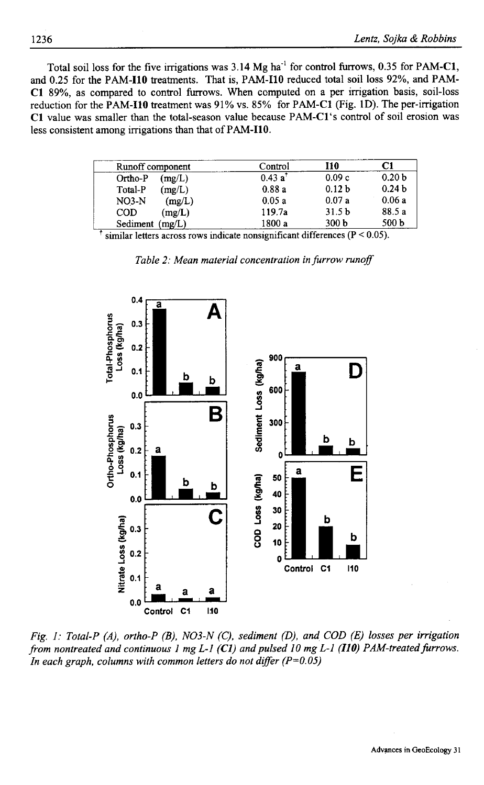Total soil loss for the five irrigations was  $3.14 \text{ Mg}$  ha<sup>-1</sup> for control furrows,  $0.35$  for PAM-C1, and 0.25 for the **PAM-I10** treatments. That is, PAM-I10 reduced total soil loss 92%, and PAM-Cl 89%, as compared to control furrows. When computed on a per irrigation basis, soil-loss reduction for the **PAM-I10** treatment was 91% vs. 85% for PAM-Cl (Fig. 1D). The per-irrigation Cl value was smaller than the total-season value because PAM-Cl's control of soil erosion was less consistent among irrigations than that of **PAM-I10.**

| Runoff component  | Control             | I10               | C1                |
|-------------------|---------------------|-------------------|-------------------|
| Ortho-P<br>(mg/L) | 0.43 a <sup>†</sup> | 0.09c             | 0.20 <sub>b</sub> |
| (mg/L)<br>Total-P | 0.88a               | 0.12 <sub>b</sub> | 0.24 <sub>b</sub> |
| $NO3-N$<br>(mg/L) | 0.05a               | 0.07a             | 0.06a             |
| (mg/L)<br>COD     | 119.7a              | 31.5 <sub>b</sub> | 88.5 a            |
| Sediment (mg/L)   | 1800 a              | 300 <sub>b</sub>  | 500 b             |

 $\dagger$  similar letters across rows indicate nonsignificant differences (P < 0.05).





*Fig. 1: Total-P (A), ortho-P (B), NO3-N (C), sediment (D), and COD (E) losses per irrigation from nontreated and continuous 1 mg L-1 (Cl) and pulsed 10 mg L-1 (110) PAM-treated furrows. In each graph, columns with common letters do not differ (P=0.05)*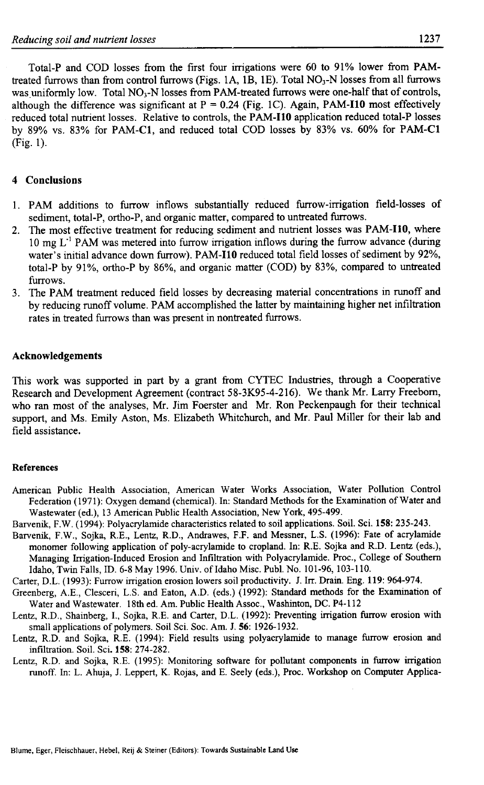Total-P and COD losses from the first four irrigations were 60 to 91% lower from PAMtreated furrows than from control furrows (Figs. 1A, 1B, 1E). Total NO<sub>3</sub>-N losses from all furrows was uniformly low. Total NO<sub>3</sub>-N losses from PAM-treated furrows were one-half that of controls, although the difference was significant at  $P = 0.24$  (Fig. 1C). Again, PAM-I10 most effectively reduced total nutrient losses. Relative to controls, the **PAM-I10** application reduced total-P losses by 89% vs. 83% for PAM-Cl, and reduced total COD losses by 83% vs. 60% for PAM-Cl (Fig. 1).

# 4 **Conclusions**

- 1. PAM additions to furrow inflows substantially reduced furrow-irrigation field-losses of sediment, total-P, ortho-P, and organic matter, compared to untreated furrows.
- 2. The most effective treatment for reducing sediment and nutrient losses was **PAM-I10,** where  $10 \text{ mg } L^1$  PAM was metered into furrow irrigation inflows during the furrow advance (during water's initial advance down furrow). **PAM-110** reduced total field losses of sediment by 92%, total-P by 91%, ortho-P by 86%, and organic matter (COD) by 83%, compared to untreated furrows.
- 3. The PAM treatment reduced field losses by decreasing material concentrations in runoff and by reducing runoff volume. PAM accomplished the latter by maintaining higher net infiltration rates in treated furrows than was present in nontreated furrows.

# **Acknowledgements**

This work was supported in part by a grant from CYTEC Industries, through a Cooperative Research and Development Agreement (contract 58-3K95-4-216). We thank Mr. Larry Freeborn, who ran most of the analyses, Mr. Jim Foerster and Mr. Ron Peckenpaugh for their technical support, and Ms. Emily Aston, Ms. Elizabeth Whitchurch, and Mr. Paul Miller for their lab and field assistance.

### **References**

- American Public Health Association, American Water Works Association, Water Pollution Control Federation (1971): Oxygen demand (chemical). In: Standard Methods for the Examination of Water and Wastewater (ed.), 13 American Public Health Association, New York, 495-499.
- Barvenik, F.W. (1994): Polyacrylamide characteristics related to soil applications. Soil. Sci. 158: 235-243.
- Barvenik, F.W., Sojka, RE., Lentz, R.D., Andrawes, F.F. and Messner, L.S. (1996): Fate of acrylamide monomer following application of poly-acrylamide to cropland. In: R.E. Sojka and R.D. Lentz (eds.), Managing Irrigation-Induced Erosion and Infiltration with Polyacrylamide. Proc., College of Southern Idaho, Twin Falls, ID. 6-8 May 1996. Univ. of Idaho Misc. Publ. No. 101-96, 103-110.
- Carter, D.L. (1993): Furrow irrigation erosion lowers soil productivity. J. In. Drain. Eng. 119: 964-974.
- Greenberg, A.E., Clesceri, L.S. and Eaton, A.D. (eds.) (1992): Standard methods for the Examination of Water and Wastewater. 18th ed. Am. Public Health Assoc., Washinton, DC. P4-112
- Lentz, RD., Shainberg, I., Sojka, R.E. and Carter, D.L. (1992): Preventing irrigation furrow erosion with small applications of polymers. Soil Sci. Soc. Am. J. **56:** 1926-1932.
- Lentz, R.D. and Sojka, R.E. (1994): Field results using polyacrylamide to manage furrow erosion and infiltration. Soil. Sci. 158: 274-282.
- Lentz, R.D. and Sojka, R.E. (1995): Monitoring software for pollutant components in furrow irrigation runoff. In: L. Ahuja, J. Leppert, K. Rojas, and E. Seely (eds.), Proc. Workshop on Computer Applica-